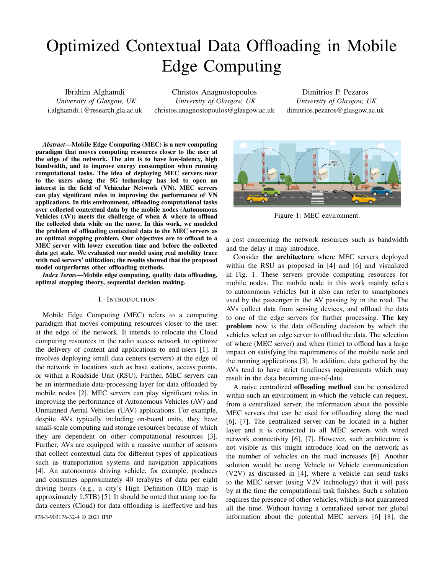# Optimized Contextual Data Offloading in Mobile Edge Computing

Ibrahim Alghamdi *University of Glasgow, UK* i.alghamdi.1@research.gla.ac.uk

Christos Anagnostopoulos *University of Glasgow, UK* christos.anagnostopoulos@glasgow.ac.uk

Dimitrios P. Pezaros *University of Glasgow, UK* dimitrios.pezaros@glasgow.ac.uk

*Abstract*—Mobile Edge Computing (MEC) is a new computing paradigm that moves computing resources closer to the user at the edge of the network. The aim is to have low-latency, high bandwidth, and to improve energy consumption when running computational tasks. The idea of deploying MEC servers near to the users along the 5G technology has led to open an interest in the field of Vehicular Network (VN). MEC servers can play significant roles in improving the performance of VN applications. In this environment, offloading computational tasks over collected contextual data by the mobile nodes (Autonomous Vehicles  $(AV)$ ) meets the challenge of when  $&$  where to offload the collected data while on the move. In this work, we modeled the problem of offloading contextual data to the MEC servers as an optimal stopping problem. Our objectives are to offload to a MEC server with lower execution time and before the collected data get stale. We evaluated our model using real mobility trace with real servers' utilization; the results showed that the proposed model outperforms other offloading methods.

*Index Terms*—Mobile edge computing, quality data offloading, optimal stopping theory, sequential decision making.

#### I. INTRODUCTION

Mobile Edge Computing (MEC) refers to a computing paradigm that moves computing resources closer to the user at the edge of the network. It intends to relocate the Cloud computing resources in the radio access network to optimize the delivery of content and applications to end-users [1]. It involves deploying small data centers (servers) at the edge of the network in locations such as base stations, access points, or within a Roadside Unit (RSU). Further, MEC servers can be an intermediate data-processing layer for data offloaded by mobile nodes [2]. MEC servers can play significant roles in improving the performance of Autonomous Vehicles (AV) and Unmanned Aerial Vehicles (UAV) applications. For example, despite AVs typically including on-board units, they have small-scale computing and storage resources because of which they are dependent on other computational resources [3]. Further, AVs are equipped with a massive number of sensors that collect contextual data for different types of applications such as transportation systems and navigation applications [4]. An autonomous driving vehicle, for example, produces and consumes approximately 40 terabytes of data per eight driving hours (e.g., a city's High Definition (HD) map is approximately 1.5TB) [5]. It should be noted that using too far data centers (Cloud) for data offloading is ineffective and has



Figure 1: MEC environment.

a cost concerning the network resources such as bandwidth and the delay it may introduce.

Consider the architecture where MEC servers deployed within the RSU as proposed in [4] and [6] and visualized in Fig. 1. These servers provide computing resources for mobile nodes. The mobile node in this work mainly refers to autonomous vehicles but it also can refer to smartphones used by the passenger in the AV passing by in the road. The AVs collect data from sensing devices, and offload the data to one of the edge servers for further processing. The key problem now is the data offloading decision by which the vehicles select an edge server to offload the data. The selection of where (MEC server) and when (time) to offload has a large impact on satisfying the requirements of the mobile node and the running applications [3]. In addition, data gathered by the AVs tend to have strict timeliness requirements which may result in the data becoming out-of-date.

A naive centralized offloading method can be considered within such an environment in which the vehicle can request, from a centralized server, the information about the possible MEC servers that can be used for offloading along the road [6], [7]. The centralized server can be located in a higher layer and it is connected to all MEC servers with wired network connectivity [6], [7]. However, such architecture is not visible as this might introduce load on the network as the number of vehicles on the road increases [6]. Another solution would be using Vehicle to Vehicle communication (V2V) as discussed in [4], where a vehicle can send tasks to the MEC server (using V2V technology) that it will pass by at the time the computational task finishes. Such a solution requires the presence of other vehicles, which is not guaranteed all the time. Without having a centralized server nor global 978-3-903176-32-4 © 2021 IFIP information about the potential MEC servers [6] [8], the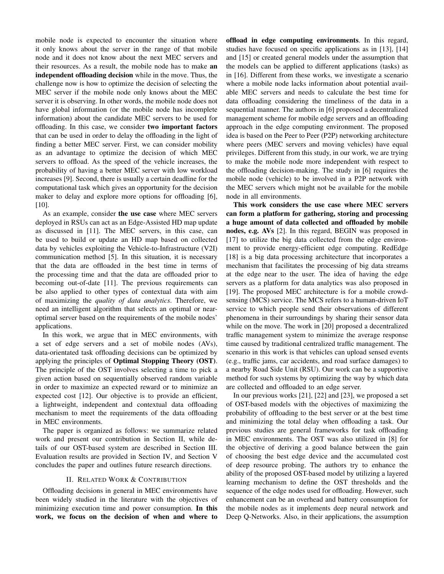mobile node is expected to encounter the situation where it only knows about the server in the range of that mobile node and it does not know about the next MEC servers and their resources. As a result, the mobile node has to make an independent offloading decision while in the move. Thus, the challenge now is how to optimize the decision of selecting the MEC server if the mobile node only knows about the MEC server it is observing. In other words, the mobile node does not have global information (or the mobile node has incomplete information) about the candidate MEC servers to be used for offloading. In this case, we consider two important factors that can be used in order to delay the offloading in the light of finding a better MEC server. First, we can consider mobility as an advantage to optimize the decision of which MEC servers to offload. As the speed of the vehicle increases, the probability of having a better MEC server with low workload increases [9]. Second, there is usually a certain deadline for the computational task which gives an opportunity for the decision maker to delay and explore more options for offloading [6], [10].

As an example, consider the use case where MEC servers deployed in RSUs can act as an Edge-Assisted HD map update as discussed in [11]. The MEC servers, in this case, can be used to build or update an HD map based on collected data by vehicles exploiting the Vehicle-to-Infrastructure (V2I) communication method [5]. In this situation, it is necessary that the data are offloaded in the best time in terms of the processing time and that the data are offloaded prior to becoming out-of-date [11]. The previous requirements can be also applied to other types of contextual data with aim of maximizing the *quality of data analytics*. Therefore, we need an intelligent algorithm that selects an optimal or nearoptimal server based on the requirements of the mobile nodes' applications.

In this work, we argue that in MEC environments, with a set of edge servers and a set of mobile nodes (AVs), data-orientated task offloading decisions can be optimized by applying the principles of Optimal Stopping Theory (OST). The principle of the OST involves selecting a time to pick a given action based on sequentially observed random variable in order to maximize an expected reward or to minimize an expected cost [12]. Our objective is to provide an efficient, a lightweight, independent and contextual data offloading mechanism to meet the requirements of the data offloading in MEC environments.

The paper is organized as follows: we summarize related work and present our contribution in Section II, while details of our OST-based system are described in Section III. Evaluation results are provided in Section IV, and Section V concludes the paper and outlines future research directions.

## II. RELATED WORK & CONTRIBUTION

Offloading decisions in general in MEC environments have been widely studied in the literature with the objectives of minimizing execution time and power consumption. In this work, we focus on the decision of when and where to offload in edge computing environments. In this regard, studies have focused on specific applications as in [13], [14] and [15] or created general models under the assumption that the models can be applied to different applications (tasks) as in [16]. Different from these works, we investigate a scenario where a mobile node lacks information about potential available MEC servers and needs to calculate the best time for data offloading considering the timeliness of the data in a sequential manner. The authors in [6] proposed a decentralized management scheme for mobile edge servers and an offloading approach in the edge computing environment. The proposed idea is based on the Peer to Peer (P2P) networking architecture where peers (MEC servers and moving vehicles) have equal privileges. Different from this study, in our work, we are trying to make the mobile node more independent with respect to the offloading decision-making. The study in [6] requires the mobile node (vehicle) to be involved in a P2P network with the MEC servers which might not be available for the mobile node in all environments.

This work considers the use case where MEC servers can form a platform for gathering, storing and processing a huge amount of data collected and offloaded by mobile nodes, e.g. AVs [2]. In this regard, BEGIN was proposed in [17] to utilize the big data collected from the edge environment to provide energy-efficient edge computing. RedEdge [18] is a big data processing architecture that incorporates a mechanism that facilitates the processing of big data streams at the edge near to the user. The idea of having the edge servers as a platform for data analytics was also proposed in [19]. The proposed MEC architecture is for a mobile crowdsensing (MCS) service. The MCS refers to a human-driven IoT service to which people send their observations of different phenomena in their surroundings by sharing their sensor data while on the move. The work in [20] proposed a decentralized traffic management system to minimize the average response time caused by traditional centralized traffic management. The scenario in this work is that vehicles can upload sensed events (e.g., traffic jams, car accidents, and road surface damages) to a nearby Road Side Unit (RSU). Our work can be a supportive method for such systems by optimizing the way by which data are collected and offloaded to an edge server.

In our previous works [21], [22] and [23], we proposed a set of OST-based models with the objectives of maximizing the probability of offloading to the best server or at the best time and minimizing the total delay when offloading a task. Our previous studies are general frameworks for task offloading in MEC environments. The OST was also utilized in [8] for the objective of deriving a good balance between the gain of choosing the best edge device and the accumulated cost of deep resource probing. The authors try to enhance the ability of the proposed OST-based model by utilizing a layered learning mechanism to define the OST thresholds and the sequence of the edge nodes used for offloading. However, such enhancement can be an overhead and battery consumption for the mobile nodes as it implements deep neural network and Deep Q-Networks. Also, in their applications, the assumption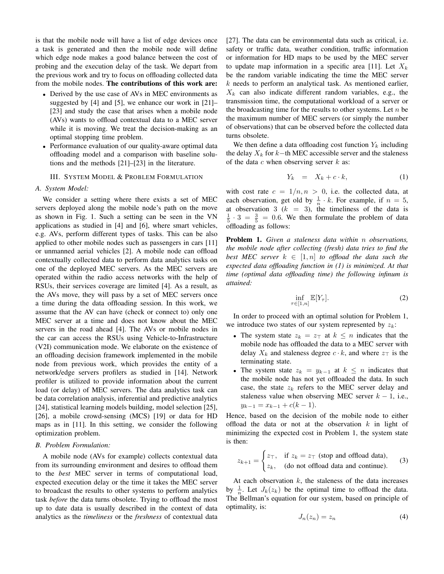is that the mobile node will have a list of edge devices once a task is generated and then the mobile node will define which edge node makes a good balance between the cost of probing and the execution delay of the task. We depart from the previous work and try to focus on offloading collected data from the mobile nodes. The contributions of this work are:

- Derived by the use case of AVs in MEC environments as suggested by [4] and [5], we enhance our work in [21]– [23] and study the case that arises when a mobile node (AVs) wants to offload contextual data to a MEC server while it is moving. We treat the decision-making as an optimal stopping time problem.
- Performance evaluation of our quality-aware optimal data offloading model and a comparison with baseline solutions and the methods [21]–[23] in the literature.

#### III. SYSTEM MODEL & PROBLEM FORMULATION

#### *A. System Model:*

We consider a setting where there exists a set of MEC servers deployed along the mobile node's path on the move as shown in Fig. 1. Such a setting can be seen in the VN applications as studied in [4] and [6], where smart vehicles, e.g. AVs, perform different types of tasks. This can be also applied to other mobile nodes such as passengers in cars [11] or unmanned aerial vehicles [2]. A mobile node can offload contextually collected data to perform data analytics tasks on one of the deployed MEC servers. As the MEC servers are operated within the radio access networks with the help of RSUs, their services coverage are limited [4]. As a result, as the AVs move, they will pass by a set of MEC servers once a time during the data offloading session. In this work, we assume that the AV can have (check or connect to) only one MEC server at a time and does not know about the MEC servers in the road ahead [4]. The AVs or mobile nodes in the car can access the RSUs using Vehicle-to-Infrastructure (V2I) communication mode. We elaborate on the existence of an offloading decision framework implemented in the mobile node from previous work, which provides the entity of a network/edge servers profilers as studied in [14]. Network profiler is utilized to provide information about the current load (or delay) of MEC servers. The data analytics task can be data correlation analysis, inferential and predictive analytics [24], statistical learning models building, model selection [25], [26], a mobile crowd-sensing (MCS) [19] or data for HD maps as in [11]. In this setting, we consider the following optimization problem.

#### *B. Problem Formulation:*

A mobile node (AVs for example) collects contextual data from its surrounding environment and desires to offload them to the *best* MEC server in terms of computational load, expected execution delay or the time it takes the MEC server to broadcast the results to other systems to perform analytics task *before* the data turns obsolete. Trying to offload the most up to date data is usually described in the context of data analytics as the *timeliness* or the *freshness* of contextual data [27]. The data can be environmental data such as critical, i.e. safety or traffic data, weather condition, traffic information or information for HD maps to be used by the MEC server to update map information in a specific area [11]. Let  $X_k$ be the random variable indicating the time the MEC server  $k$  needs to perform an analytical task. As mentioned earlier,  $X_k$  can also indicate different random variables, e.g., the transmission time, the computational workload of a server or the broadcasting time for the results to other systems. Let  $n$  be the maximum number of MEC servers (or simply the number of observations) that can be observed before the collected data turns obsolete.

We then define a data offloading cost function  $Y_k$  including the delay  $X_k$  for  $k$ −th MEC accessible server and the staleness of the data  $c$  when observing server  $k$  as:

$$
Y_k = X_k + c \cdot k,\tag{1}
$$

with cost rate  $c = 1/n, n > 0$ , i.e. the collected data, at each observation, get old by  $\frac{1}{n} \cdot k$ . For example, if  $n = 5$ , at observation 3 ( $k = 3$ ), the timeliness of the data is  $\frac{1}{5} \cdot 3 = \frac{3}{5} = 0.6$ . We then formulate the problem of data offloading as follows:

Problem 1. *Given a staleness data within* n *observations, the mobile node after collecting (fresh) data tries to find the best MEC server*  $k \in [1, n]$  *to offload the data such the expected data offloading function in (1) is minimized. At that time (optimal data offloading time) the following infinum is attained:*

$$
\inf_{\tau \in [1,n]} \mathbb{E}[Y_{\tau}]. \tag{2}
$$

In order to proceed with an optimal solution for Problem 1, we introduce two states of our system represented by  $z_k$ :

- The system state  $z_k = z_{\text{T}}$  at  $k \leq n$  indicates that the mobile node has offloaded the data to a MEC server with delay  $X_k$  and staleness degree  $c \cdot k$ , and where  $z_{\top}$  is the terminating state.
- The system state  $z_k = y_{k-1}$  at  $k \leq n$  indicates that the mobile node has not yet offloaded the data. In such case, the state  $z_k$  refers to the MEC server delay and staleness value when observing MEC server  $k - 1$ , i.e.,  $y_{k-1} = x_{k-1} + c(k-1).$

Hence, based on the decision of the mobile node to either offload the data or not at the observation  $k$  in light of minimizing the expected cost in Problem 1, the system state is then:

$$
z_{k+1} = \begin{cases} z_{\top}, & \text{if } z_k = z_{\top} \text{ (stop and offload data)}, \\ z_k, & \text{(do not offload data and continue)}. \end{cases}
$$
(3)

At each observation  $k$ , the staleness of the data increases by  $\frac{1}{n}$ . Let  $J_k(z_k)$  be the optimal time to offload the data. The Bellman's equation for our system, based on principle of optimality, is:

$$
J_n(z_n) = z_n \tag{4}
$$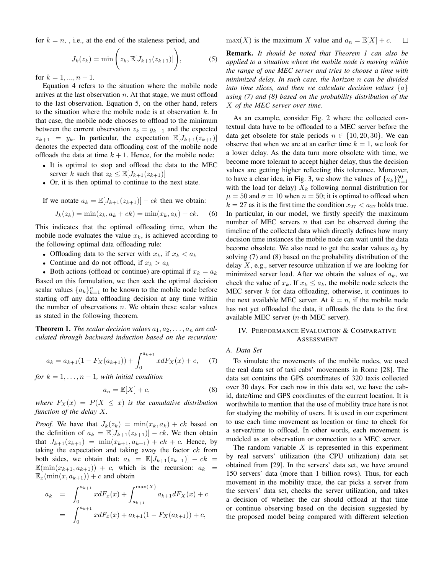for  $k = n$ , i.e., at the end of the staleness period, and

$$
J_k(z_k) = \min\left(z_k, \mathbb{E}[J_{k+1}(z_{k+1})]\right),\tag{5}
$$

for  $k = 1, ..., n - 1$ .

Equation 4 refers to the situation where the mobile node arrives at the last observation  $n$ . At that stage, we must offload to the last observation. Equation 5, on the other hand, refers to the situation where the mobile node is at observation  $k$ . In that case, the mobile node chooses to offload to the minimum between the current observation  $z_k = y_{k-1}$  and the expected  $z_{k+1} = y_k$ . In particular, the expectation  $\mathbb{E}[J_{k+1}(z_{k+1})]$ denotes the expected data offloading cost of the mobile node offloads the data at time  $k + 1$ . Hence, for the mobile node:

- It is optimal to stop and offload the data to the MEC server k such that  $z_k \leq \mathbb{E}[J_{k+1}(z_{k+1})]$
- Or, it is then optimal to continue to the next state.

If we notate 
$$
a_k = \mathbb{E}[J_{k+1}(z_{k+1})] - ck
$$
 then we obtain:  
\n
$$
J_k(z_k) = \min(z_k, a_k + ck) = \min(x_k, a_k) + ck.
$$
 (6)

This indicates that the optimal offloading time, when the mobile node evaluates the value  $x_k$ , is achieved according to the following optimal data offloading rule:

- Offloading data to the server with  $x_k$ , if  $x_k < a_k$
- Continue and do not offload, if  $x_k > a_k$

• Both actions (offload or continue) are optimal if  $x_k = a_k$ Based on this formulation, we then seek the optimal decision scalar values  $\{a_k\}_{k=1}^n$  to be known to the mobile node before starting off any data offloading decision at any time within the number of observations  $n$ . We obtain these scalar values as stated in the following theorem.

**Theorem 1.** The scalar decision values  $a_1, a_2, \ldots, a_n$  are cal*culated through backward induction based on the recursion:*

$$
a_k = a_{k+1}(1 - F_X(a_{k+1})) + \int_0^{a_{k+1}} x dF_X(x) + c,\t(7)
$$

*for*  $k = 1, \ldots, n - 1$ *, with initial condition* 

$$
a_n = \mathbb{E}[X] + c,\tag{8}
$$

*where*  $F_X(x) = P(X \leq x)$  *is the cumulative distribution function of the delay* X*.*

*Proof.* We have that  $J_k(z_k) = \min(x_k, a_k) + ck$  based on the definition of  $a_k = \mathbb{E}[J_{k+1}(z_{k+1})] - ck$ . We then obtain that  $J_{k+1}(z_{k+1}) = \min(x_{k+1}, a_{k+1}) + ck + c$ . Hence, by taking the expectation and taking away the factor  $ck$  from both sides, we obtain that:  $a_k = \mathbb{E}[J_{k+1}(z_{k+1})] - ck =$  $\mathbb{E}(\min(x_{k+1}, a_{k+1})) + c$ , which is the recursion:  $a_k =$  $\mathbb{E}_x(\min(x, a_{k+1})) + c$  and obtain

$$
a_k = \int_0^{a_{k+1}} x dF_x(x) + \int_{a_{k+1}}^{\max(X)} a_{k+1} dF_X(x) + c
$$
  
= 
$$
\int_0^{a_{k+1}} x dF_x(x) + a_{k+1} (1 - F_X(a_{k+1})) + c,
$$

 $max(X)$  is the maximum X value and  $a_n = \mathbb{E}[X] + c$ .  $\Box$ 

Remark. *It should be noted that Theorem 1 can also be applied to a situation where the mobile node is moving within the range of one MEC server and tries to choose a time with minimized delay. In such case, the horizon* n *can be divided into time slices, and then we calculate decision values*  $\{a\}$ *using (7) and (8) based on the probability distribution of the* X *of the MEC server over time.*

As an example, consider Fig. 2 where the collected contextual data have to be offloaded to a MEC server before the data get obsolete for stale periods  $n \in \{10, 20, 30\}$ . We can observe that when we are at an earlier time  $k = 1$ , we look for a lower delay. As the data turn more obsolete with time, we become more tolerant to accept higher delay, thus the decision values are getting higher reflecting this tolerance. Moreover, to have a clear idea, in Fig. 3, we show the values of  $\{a_k\}_{k=1}^{50}$ with the load (or delay)  $X_k$  following normal distribution for  $\mu = 50$  and  $\sigma = 10$  when  $n = 50$ ; it is optimal to offload when  $k = 27$  as it is the first time the condition  $x_{27} < a_{27}$  holds true. In particular, in our model, we firstly specify the maximum number of MEC servers  $n$  that can be observed during the timeline of the collected data which directly defines how many decision time instances the mobile node can wait until the data become obsolete. We also need to get the scalar values  $a_k$  by solving (7) and (8) based on the probability distribution of the delay  $X$ , e.g., server resource utilization if we are looking for minimized server load. After we obtain the values of  $a_k$ , we check the value of  $x_k$ . If  $x_k \le a_k$ , the mobile node selects the MEC server  $k$  for data offloading, otherwise, it continues to the next available MEC server. At  $k = n$ , if the mobile node has not yet offloaded the data, it offloads the data to the first available MEC server ( $n$ -th MEC server).

#### IV. PERFORMANCE EVALUATION & COMPARATIVE **ASSESSMENT**

## *A. Data Set*

To simulate the movements of the mobile nodes, we used the real data set of taxi cabs' movements in Rome [28]. The data set contains the GPS coordinates of 320 taxis collected over 30 days. For each row in this data set, we have the cabid, date/time and GPS coordinates of the current location. It is worthwhile to mention that the use of mobility trace here is not for studying the mobility of users. It is used in our experiment to use each time movement as location or time to check for a server/time to offload. In other words, each movement is modeled as an observation or connection to a MEC server.

The random variable  $X$  is represented in this experiment by real servers' utilization (the CPU utilization) data set obtained from [29]. In the servers' data set, we have around 150 servers' data (more than 1 billion rows). Thus, for each movement in the mobility trace, the car picks a server from the servers' data set, checks the server utilization, and takes a decision of whether the car should offload at that time or continue observing based on the decision suggested by the proposed model being compared with different selection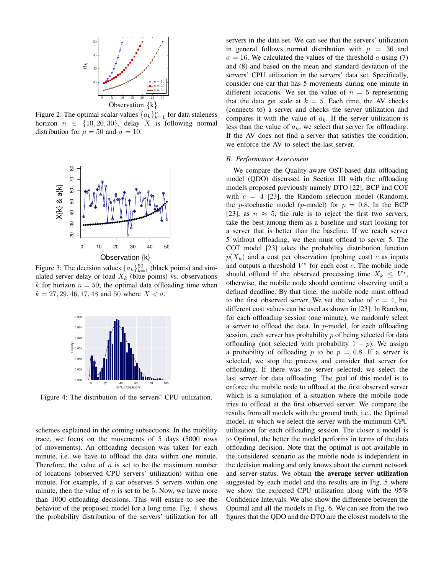

Figure 2: The optimal scalar values  $\{a_k\}_{k=1}^n$  for data staleness horizon  $n \in \{10, 20, 30\}$ , delay X is following normal distribution for  $\mu = 50$  and  $\sigma = 10$ .



Figure 3: The decision values  $\{a_k\}_{k=1}^{50}$  (black points) and simulated server delay or load  $X_k$  (blue points) vs. observations k for horizon  $n = 50$ ; the optimal data offloading time when  $k = 27, 29, 46, 47, 48$  and 50 where  $X < a$ .



Figure 4: The distribution of the servers' CPU utilization.

schemes explained in the coming subsections. In the mobility trace, we focus on the movements of 5 days (5000 rows of movements). An offloading decision was taken for each minute, i.e. we have to offload the data within one minute. Therefore, the value of  $n$  is set to be the maximum number of locations (observed CPU servers' utilization) within one minute. For example, if a car observes 5 servers within one minute, then the value of  $n$  is set to be 5. Now, we have more than 1000 offloading decisions. This will ensure to see the behavior of the proposed model for a long time. Fig. 4 shows the probability distribution of the servers' utilization for all servers in the data set. We can see that the servers' utilization in general follows normal distribution with  $\mu = 36$  and  $\sigma = 16$ . We calculated the values of the threshold a using (7) and (8) and based on the mean and standard deviation of the servers' CPU utilization in the servers' data set. Specifically, consider one car that has 5 movements during one minute in different locations. We set the value of  $n = 5$  representing that the data get stale at  $k = 5$ . Each time, the AV checks (connects to) a server and checks the server utilization and compares it with the value of  $a_k$ . If the server utilization is less than the value of  $a_k$ , we select that server for offloading. If the AV does not find a server that satisfies the condition, we enforce the AV to select the last server.

### *B. Performance Assessment*

We compare the Quality-aware OST-based data offloading model (QDO) discussed in Section III with the offloading models proposed previously namely DTO [22], BCP and COT with  $c = 4$  [23], the Random selection model (Random), the *p*-stochastic model (*p*-model) for  $p = 0.8$ . In the BCP [23], as  $n \approx 5$ , the rule is to reject the first two servers, take the best among them as a baseline and start looking for a server that is better than the baseline. If we reach server 5 without offloading, we then must offload to server 5. The COT model [23] takes the probability distribution function  $p(X_k)$  and a cost per observation (probing cost) c as inputs and outputs a threshold  $V^*$  for each cost  $c$ . The mobile node should offload if the observed processing time  $X_k \leq V^*$ , otherwise, the mobile node should continue observing until a defined deadline. By that time, the mobile node must offload to the first observed server. We set the value of  $c = 4$ , but different cost values can be used as shown in [23]. In Random, for each offloading session (one minute), we randomly select a server to offload the data. In  $p$ -model, for each offloading session, each server has probability p of being selected for data offloading (not selected with probability  $1 - p$ ). We assign a probability of offloading p to be  $p = 0.8$ . If a server is selected, we stop the process and consider that server for offloading. If there was no server selected, we select the last server for data offloading. The goal of this model is to enforce the mobile node to offload at the first observed server which is a simulation of a situation where the mobile node tries to offload at the first observed server. We compare the results from all models with the ground truth, i.e., the Optimal model, in which we select the server with the minimum CPU utilization for each offloading session. The closer a model is to Optimal, the better the model performs in terms of the data offloading decision. Note that the optimal is not available in the considered scenario as the mobile node is independent in the decision making and only knows about the current network and server status. We obtain the average server utilization suggested by each model and the results are in Fig. 5 where we show the expected CPU utilization along with the 95% Confidence Intervals. We also show the difference between the Optimal and all the models in Fig. 6. We can see from the two figures that the QDO and the DTO are the closest models to the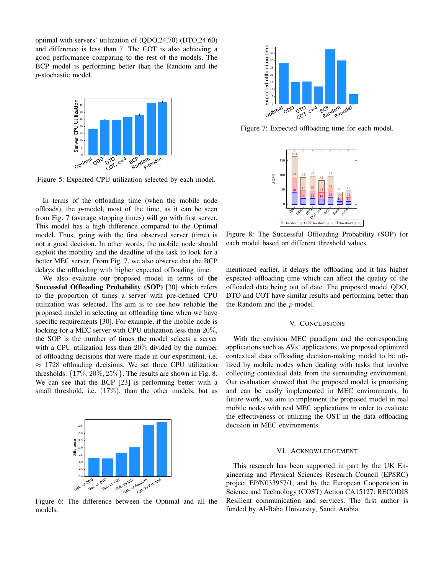optimal with servers' utilization of (QDO,24.70) (DTO,24.60) and difference is less than 7. The COT is also achieving a good performance comparing to the rest of the models. The BCP model is performing better than the Random and the p-stochastic model.



Figure 5: Expected CPU utilization selected by each model.

In terms of the offloading time (when the mobile node offloads), the  $p$ -model, most of the time, as it can be seen from Fig. 7 (average stopping times) will go with first server. This model has a high difference compared to the Optimal model. Thus, going with the first observed server (time) is not a good decision. In other words, the mobile node should exploit the mobility and the deadline of the task to look for a better MEC server. From Fig. 7, we also observe that the BCP delays the offloading with higher expected offloading time.

We also evaluate our proposed model in terms of the Successful Offloading Probability (SOP) [30] which refers to the proportion of times a server with pre-defined CPU utilization was selected. The aim is to see how reliable the proposed model in selecting an offloading time when we have specific requirements [30]. For example, if the mobile node is looking for a MEC server with CPU utilization less than 20%, the SOP is the number of times the model selects a server with a CPU utilization less than 20% divided by the number of offloading decisions that were made in our experiment, i.e.  $\approx$  1728 offloading decisions. We set three CPU utilization thresholds:  $\{17\%, 20\%, 25\%\}$ . The results are shown in Fig. 8. We can see that the BCP [23] is performing better with a small threshold, i.e. (17%), than the other models, but as



Figure 6: The difference between the Optimal and all the models.



Figure 7: Expected offloading time for each model.



Figure 8: The Successful Offloading Probability (SOP) for each model based on different threshold values.

mentioned earlier, it delays the offloading and it has higher expected offloading time which can affect the quality of the offloaded data being out of date. The proposed model QDO, DTO and COT have similar results and performing better than the Random and the p-model.

#### V. CONCLUSIONS

With the envision MEC paradigm and the corresponding applications such as AVs' applications, we proposed optimized contextual data offloading decision-making model to be utilized by mobile nodes when dealing with tasks that involve collecting contextual data from the surrounding environment. Our evaluation showed that the proposed model is promising and can be easily implemented in MEC environments. In future work, we aim to implement the proposed model in real mobile nodes with real MEC applications in order to evaluate the effectiveness of utilizing the OST in the data offloading decision in MEC environments.

## VI. ACKNOWLEDGEMENT

This research has been supported in part by the UK Engineering and Physical Sciences Research Council (EPSRC) project EP/N033957/1, and by the European Cooperation in Science and Technology (COST) Action CA15127: RECODIS Resilient communication and services. The first author is funded by Al-Baha University, Saudi Arabia.